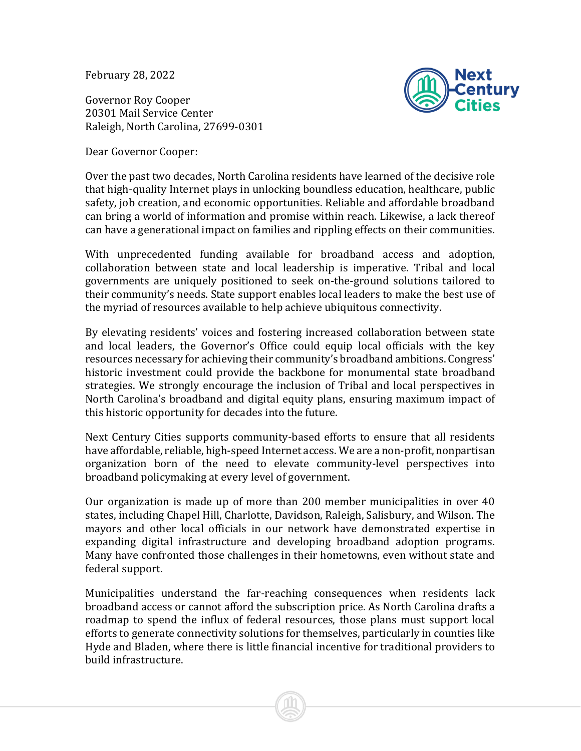February 28, 2022

Governor Roy Cooper 20301 Mail Service Center Raleigh, North Carolina, 27699-0301



Dear Governor Cooper:

Over the past two decades, North Carolina residents have learned of the decisive role that high-quality Internet plays in unlocking boundless education, healthcare, public safety, job creation, and economic opportunities. Reliable and affordable broadband can bring a world of information and promise within reach. Likewise, a lack thereof can have a generational impact on families and rippling effects on their communities.

With unprecedented funding available for broadband access and adoption, collaboration between state and local leadership is imperative. Tribal and local governments are uniquely positioned to seek on-the-ground solutions tailored to their community's needs. State support enables local leaders to make the best use of the myriad of resources available to help achieve ubiquitous connectivity.

By elevating residents' voices and fostering increased collaboration between state and local leaders, the Governor's Office could equip local officials with the key resources necessary for achieving their community's broadband ambitions. Congress' historic investment could provide the backbone for monumental state broadband strategies. We strongly encourage the inclusion of Tribal and local perspectives in North Carolina's broadband and digital equity plans, ensuring maximum impact of this historic opportunity for decades into the future.

Next Century Cities supports community-based efforts to ensure that all residents have affordable, reliable, high-speed Internet access. We are a non-profit, nonpartisan organization born of the need to elevate community-level perspectives into broadband policymaking at every level of government.

Our organization is made up of more than 200 member municipalities in over 40 states, including Chapel Hill, Charlotte, Davidson, Raleigh, Salisbury, and Wilson. The mayors and other local officials in our network have demonstrated expertise in expanding digital infrastructure and developing broadband adoption programs. Many have confronted those challenges in their hometowns, even without state and federal support.

Municipalities understand the far-reaching consequences when residents lack broadband access or cannot afford the subscription price. As North Carolina drafts a roadmap to spend the influx of federal resources, those plans must support local efforts to generate connectivity solutions for themselves, particularly in counties like Hyde and Bladen, where there is little financial incentive for traditional providers to build infrastructure.